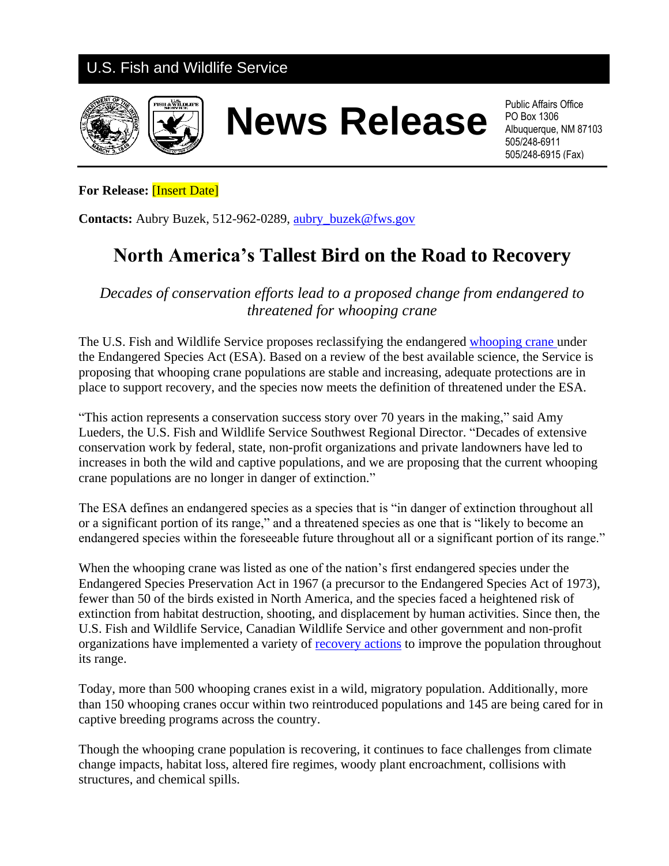



PO Box 1306 Albuquerque, NM 87103 505/248-6911 505/248-6915 (Fax)

**For Release:** [Insert Date]

**Contacts:** Aubry Buzek, 512-962-0289, [aubry\\_buzek@fws.gov](mailto:aubry_buzek@fws.gov)

## **North America's Tallest Bird on the Road to Recovery**

*Decades of conservation efforts lead to a proposed change from endangered to threatened for whooping crane*

The U.S. Fish and Wildlife Service proposes reclassifying the endangered [whooping crane](https://ecos.fws.gov/ecp/species/758) under the Endangered Species Act (ESA). Based on a review of the best available science, the Service is proposing that whooping crane populations are stable and increasing, adequate protections are in place to support recovery, and the species now meets the definition of threatened under the ESA.

"This action represents a conservation success story over 70 years in the making," said Amy Lueders, the U.S. Fish and Wildlife Service Southwest Regional Director. "Decades of extensive conservation work by federal, state, non-profit organizations and private landowners have led to increases in both the wild and captive populations, and we are proposing that the current whooping crane populations are no longer in danger of extinction."

The ESA defines an endangered species as a species that is "in danger of extinction throughout all or a significant portion of its range," and a threatened species as one that is "likely to become an endangered species within the foreseeable future throughout all or a significant portion of its range."

When the whooping crane was listed as one of the nation's first endangered species under the Endangered Species Preservation Act in 1967 (a precursor to the Endangered Species Act of 1973), fewer than 50 of the birds existed in North America, and the species faced a heightened risk of extinction from habitat destruction, shooting, and displacement by human activities. Since then, the U.S. Fish and Wildlife Service, Canadian Wildlife Service and other government and non-profit organizations have implemented a variety of [recovery actions](https://www.fws.gov/refuge/aransas/wwd/science/intl_recovery_plan.html) to improve the population throughout its range.

Today, more than 500 whooping cranes exist in a wild, migratory population. Additionally, more than 150 whooping cranes occur within two reintroduced populations and 145 are being cared for in captive breeding programs across the country.

Though the whooping crane population is recovering, it continues to face challenges from climate change impacts, habitat loss, altered fire regimes, woody plant encroachment, collisions with structures, and chemical spills.